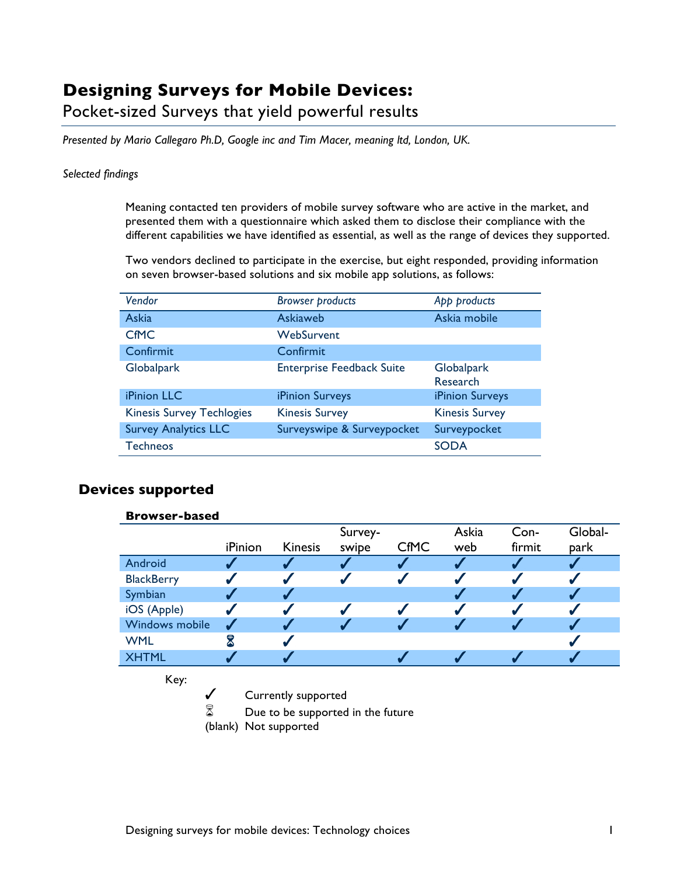## **Designing Surveys for Mobile Devices:**

Pocket-sized Surveys that yield powerful results

*Presented by Mario Callegaro Ph.D, Google inc and Tim Macer, meaning ltd, London, UK.*

## *Selected findings*

Meaning contacted ten providers of mobile survey software who are active in the market, and presented them with a questionnaire which asked them to disclose their compliance with the different capabilities we have identified as essential, as well as the range of devices they supported.

Two vendors declined to participate in the exercise, but eight responded, providing information on seven browser-based solutions and six mobile app solutions, as follows:

| Vendor                           | <b>Browser products</b>          | App products           |
|----------------------------------|----------------------------------|------------------------|
| <b>Askia</b>                     | Askiaweb                         | Askia mobile           |
| <b>CfMC</b>                      | WebSurvent                       |                        |
| Confirmit                        | Confirmit                        |                        |
| Globalpark                       | <b>Enterprise Feedback Suite</b> | Globalpark<br>Research |
| iPinion LLC                      | iPinion Surveys                  | iPinion Surveys        |
| <b>Kinesis Survey Techlogies</b> | <b>Kinesis Survey</b>            | <b>Kinesis Survey</b>  |
| <b>Survey Analytics LLC</b>      | Surveyswipe & Surveypocket       | Surveypocket           |
| <b>Techneos</b>                  |                                  | <b>SODA</b>            |

## **Devices supported**

| <b>Browser-based</b> |           |                                   |         |             |       |        |         |
|----------------------|-----------|-----------------------------------|---------|-------------|-------|--------|---------|
|                      |           |                                   | Survey- |             | Askia | Con-   | Global- |
|                      | iPinion   | <b>Kinesis</b>                    | swipe   | <b>CfMC</b> | web   | firmit | park    |
| Android              |           |                                   |         |             |       |        |         |
| <b>BlackBerry</b>    |           |                                   |         |             |       |        |         |
| Symbian              |           |                                   |         |             |       |        |         |
| iOS (Apple)          |           |                                   |         | √           |       |        |         |
| Windows mobile       |           |                                   |         |             |       |        |         |
| <b>WML</b>           | ${\tt R}$ |                                   |         |             |       |        |         |
| <b>XHTML</b>         |           |                                   |         |             |       |        |         |
| Key:                 |           |                                   |         |             |       |        |         |
|                      |           | Currently supported               |         |             |       |        |         |
| 8                    |           | Due to be supported in the future |         |             |       |        |         |

(blank) Not supported